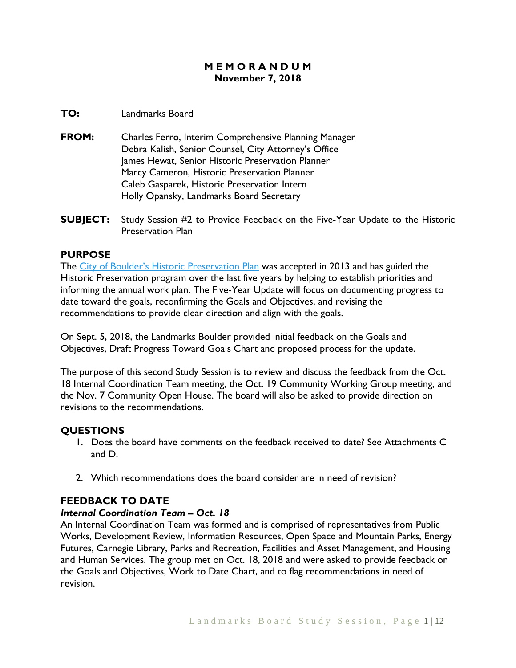# **M E M O R A N D U M November 7, 2018**

### **TO:** Landmarks Board

- **FROM:** Charles Ferro, Interim Comprehensive Planning Manager Debra Kalish, Senior Counsel, City Attorney's Office James Hewat, Senior Historic Preservation Planner Marcy Cameron, Historic Preservation Planner Caleb Gasparek, Historic Preservation Intern Holly Opansky, Landmarks Board Secretary
- **SUBJECT:** Study Session #2 to Provide Feedback on the Five-Year Update to the Historic Preservation Plan

### **PURPOSE**

The [City of Boulder's Historic Preservation Plan](https://www-static.bouldercolorado.gov/docs/historic-preservation-plan-1-201311120831.pdf) was accepted in 2013 and has guided the Historic Preservation program over the last five years by helping to establish priorities and informing the annual work plan. The Five-Year Update will focus on documenting progress to date toward the goals, reconfirming the Goals and Objectives, and revising the recommendations to provide clear direction and align with the goals.

On Sept. 5, 2018, the Landmarks Boulder provided initial feedback on the Goals and Objectives, Draft Progress Toward Goals Chart and proposed process for the update.

The purpose of this second Study Session is to review and discuss the feedback from the Oct. 18 Internal Coordination Team meeting, the Oct. 19 Community Working Group meeting, and the Nov. 7 Community Open House. The board will also be asked to provide direction on revisions to the recommendations.

### **QUESTIONS**

- 1. Does the board have comments on the feedback received to date? See Attachments C and D.
- 2. Which recommendations does the board consider are in need of revision?

# **FEEDBACK TO DATE**

### *Internal Coordination Team – Oct. 18*

An Internal Coordination Team was formed and is comprised of representatives from Public Works, Development Review, Information Resources, Open Space and Mountain Parks, Energy Futures, Carnegie Library, Parks and Recreation, Facilities and Asset Management, and Housing and Human Services. The group met on Oct. 18, 2018 and were asked to provide feedback on the Goals and Objectives, Work to Date Chart, and to flag recommendations in need of revision.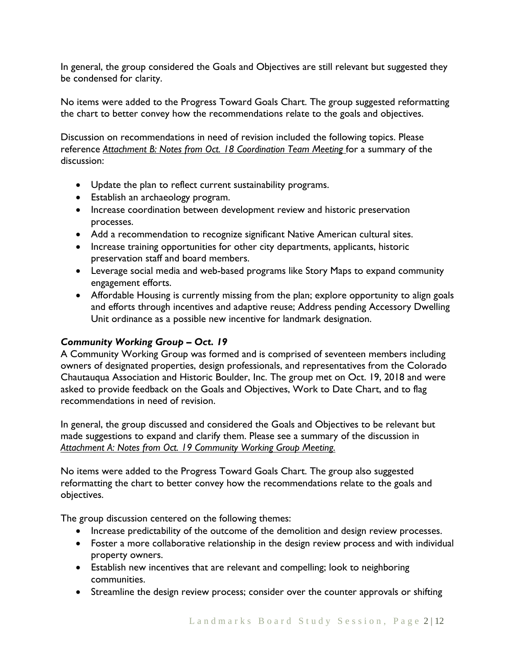In general, the group considered the Goals and Objectives are still relevant but suggested they be condensed for clarity.

No items were added to the Progress Toward Goals Chart. The group suggested reformatting the chart to better convey how the recommendations relate to the goals and objectives.

Discussion on recommendations in need of revision included the following topics. Please reference *Attachment B: Notes from Oct. 18 Coordination Team Meeting* for a summary of the discussion:

- Update the plan to reflect current sustainability programs.
- Establish an archaeology program.
- Increase coordination between development review and historic preservation processes.
- Add a recommendation to recognize significant Native American cultural sites.
- Increase training opportunities for other city departments, applicants, historic preservation staff and board members.
- Leverage social media and web-based programs like Story Maps to expand community engagement efforts.
- Affordable Housing is currently missing from the plan; explore opportunity to align goals and efforts through incentives and adaptive reuse; Address pending Accessory Dwelling Unit ordinance as a possible new incentive for landmark designation.

# *Community Working Group – Oct. 19*

A Community Working Group was formed and is comprised of seventeen members including owners of designated properties, design professionals, and representatives from the Colorado Chautauqua Association and Historic Boulder, Inc. The group met on Oct. 19, 2018 and were asked to provide feedback on the Goals and Objectives, Work to Date Chart, and to flag recommendations in need of revision.

In general, the group discussed and considered the Goals and Objectives to be relevant but made suggestions to expand and clarify them. Please see a summary of the discussion in *Attachment A: Notes from Oct. 19 Community Working Group Meeting.*

No items were added to the Progress Toward Goals Chart. The group also suggested reformatting the chart to better convey how the recommendations relate to the goals and objectives.

The group discussion centered on the following themes:

- Increase predictability of the outcome of the demolition and design review processes.
- Foster a more collaborative relationship in the design review process and with individual property owners.
- Establish new incentives that are relevant and compelling; look to neighboring communities.
- Streamline the design review process; consider over the counter approvals or shifting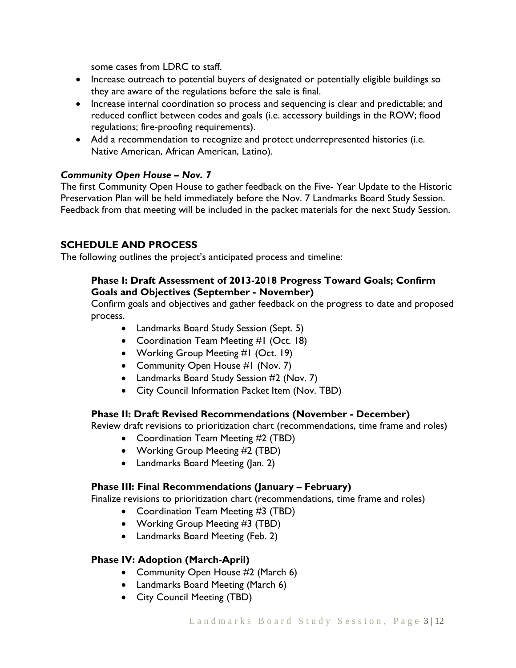some cases from LDRC to staff.

- Increase outreach to potential buyers of designated or potentially eligible buildings so they are aware of the regulations before the sale is final.
- Increase internal coordination so process and sequencing is clear and predictable; and reduced conflict between codes and goals (i.e. accessory buildings in the ROW; flood regulations; fire-proofing requirements).
- Add a recommendation to recognize and protect underrepresented histories (i.e. Native American, African American, Latino).

### *Community Open House – Nov. 7*

The first Community Open House to gather feedback on the Five- Year Update to the Historic Preservation Plan will be held immediately before the Nov. 7 Landmarks Board Study Session. Feedback from that meeting will be included in the packet materials for the next Study Session.

# **SCHEDULE AND PROCESS**

The following outlines the project's anticipated process and timeline:

# **Phase I: Draft Assessment of 2013-2018 Progress Toward Goals; Confirm Goals and Objectives (September - November)**

Confirm goals and objectives and gather feedback on the progress to date and proposed process.

- Landmarks Board Study Session (Sept. 5)
- Coordination Team Meeting #1 (Oct. 18)
- Working Group Meeting #1 (Oct. 19)
- Community Open House #1 (Nov. 7)
- Landmarks Board Study Session #2 (Nov. 7)
- City Council Information Packet Item (Nov. TBD)

# **Phase II: Draft Revised Recommendations (November - December)**

Review draft revisions to prioritization chart (recommendations, time frame and roles)

- Coordination Team Meeting #2 (TBD)
- Working Group Meeting #2 (TBD)
- Landmarks Board Meeting (Jan. 2)

### **Phase III: Final Recommendations (January – February)**

Finalize revisions to prioritization chart (recommendations, time frame and roles)

- Coordination Team Meeting #3 (TBD)
- Working Group Meeting #3 (TBD)
- Landmarks Board Meeting (Feb. 2)

### **Phase IV: Adoption (March-April)**

- Community Open House #2 (March 6)
- Landmarks Board Meeting (March 6)
- City Council Meeting (TBD)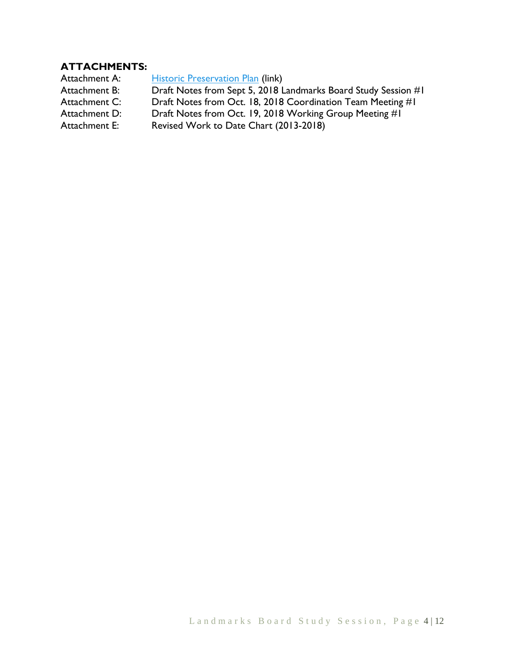# **ATTACHMENTS:**

Attachment A: [Historic Preservation Plan](https://www-static.bouldercolorado.gov/docs/historic-preservation-plan-1-201311120831.pdf) (link) Attachment B: Draft Notes from Sept 5, 2018 Landmarks Board Study Session #1 Attachment C: Draft Notes from Oct. 18, 2018 Coordination Team Meeting #1<br>Attachment D: Draft Notes from Oct. 19, 2018 Working Group Meeting #1 Draft Notes from Oct. 19, 2018 Working Group Meeting #1 Attachment E: Revised Work to Date Chart (2013-2018)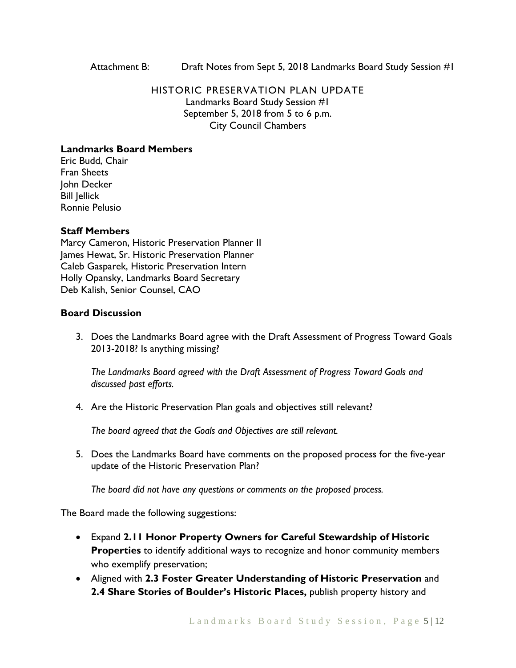#### Attachment B: Draft Notes from Sept 5, 2018 Landmarks Board Study Session #1

# HISTORIC PRESERVATION PLAN UPDATE Landmarks Board Study Session #1 September 5, 2018 from 5 to 6 p.m. City Council Chambers

## **Landmarks Board Members**

Eric Budd, Chair Fran Sheets John Decker Bill Jellick Ronnie Pelusio

### **Staff Members**

Marcy Cameron, Historic Preservation Planner II James Hewat, Sr. Historic Preservation Planner Caleb Gasparek, Historic Preservation Intern Holly Opansky, Landmarks Board Secretary Deb Kalish, Senior Counsel, CAO

### **Board Discussion**

3. Does the Landmarks Board agree with the Draft Assessment of Progress Toward Goals 2013-2018? Is anything missing?

*The Landmarks Board agreed with the Draft Assessment of Progress Toward Goals and discussed past efforts.* 

4. Are the Historic Preservation Plan goals and objectives still relevant?

*The board agreed that the Goals and Objectives are still relevant.* 

5. Does the Landmarks Board have comments on the proposed process for the five-year update of the Historic Preservation Plan?

*The board did not have any questions or comments on the proposed process.* 

The Board made the following suggestions:

- Expand **2.11 Honor Property Owners for Careful Stewardship of Historic Properties** to identify additional ways to recognize and honor community members who exemplify preservation;
- Aligned with **2.3 Foster Greater Understanding of Historic Preservation** and **2.4 Share Stories of Boulder's Historic Places,** publish property history and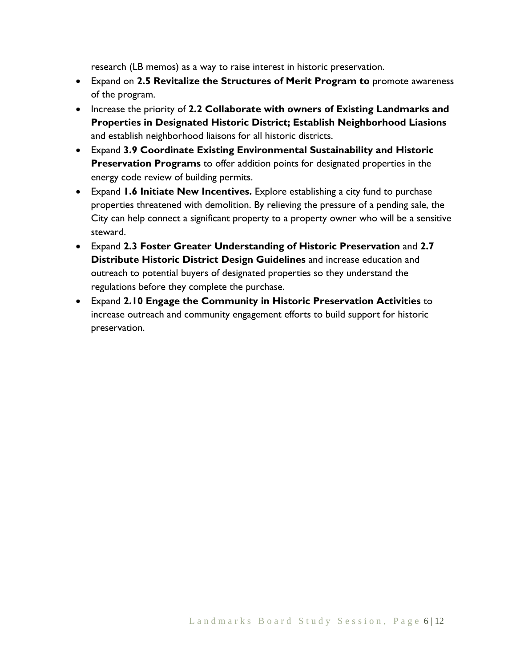research (LB memos) as a way to raise interest in historic preservation.

- Expand on **2.5 Revitalize the Structures of Merit Program to** promote awareness of the program.
- Increase the priority of **2.2 Collaborate with owners of Existing Landmarks and Properties in Designated Historic District; Establish Neighborhood Liasions**  and establish neighborhood liaisons for all historic districts.
- Expand **3.9 Coordinate Existing Environmental Sustainability and Historic Preservation Programs** to offer addition points for designated properties in the energy code review of building permits.
- Expand **1.6 Initiate New Incentives.** Explore establishing a city fund to purchase properties threatened with demolition. By relieving the pressure of a pending sale, the City can help connect a significant property to a property owner who will be a sensitive steward.
- Expand **2.3 Foster Greater Understanding of Historic Preservation** and **2.7 Distribute Historic District Design Guidelines** and increase education and outreach to potential buyers of designated properties so they understand the regulations before they complete the purchase.
- Expand **2.10 Engage the Community in Historic Preservation Activities** to increase outreach and community engagement efforts to build support for historic preservation.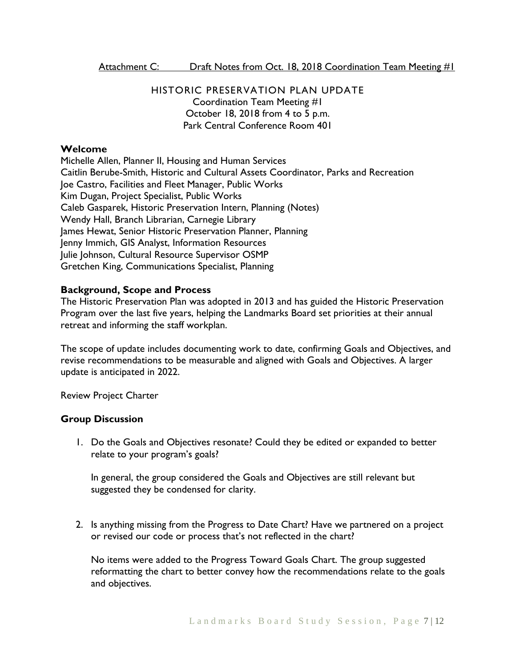Attachment C: Draft Notes from Oct. 18, 2018 Coordination Team Meeting #1

HISTORIC PRESERVATION PLAN UPDATE Coordination Team Meeting #1 October 18, 2018 from 4 to 5 p.m. Park Central Conference Room 401

### **Welcome**

Michelle Allen, Planner II, Housing and Human Services Caitlin Berube-Smith, Historic and Cultural Assets Coordinator, Parks and Recreation Joe Castro, Facilities and Fleet Manager, Public Works Kim Dugan, Project Specialist, Public Works Caleb Gasparek, Historic Preservation Intern, Planning (Notes) Wendy Hall, Branch Librarian, Carnegie Library James Hewat, Senior Historic Preservation Planner, Planning Jenny Immich, GIS Analyst, Information Resources Julie Johnson, Cultural Resource Supervisor OSMP Gretchen King, Communications Specialist, Planning

### **Background, Scope and Process**

The Historic Preservation Plan was adopted in 2013 and has guided the Historic Preservation Program over the last five years, helping the Landmarks Board set priorities at their annual retreat and informing the staff workplan.

The scope of update includes documenting work to date, confirming Goals and Objectives, and revise recommendations to be measurable and aligned with Goals and Objectives. A larger update is anticipated in 2022.

Review Project Charter

### **Group Discussion**

1. Do the Goals and Objectives resonate? Could they be edited or expanded to better relate to your program's goals?

In general, the group considered the Goals and Objectives are still relevant but suggested they be condensed for clarity.

2. Is anything missing from the Progress to Date Chart? Have we partnered on a project or revised our code or process that's not reflected in the chart?

No items were added to the Progress Toward Goals Chart. The group suggested reformatting the chart to better convey how the recommendations relate to the goals and objectives.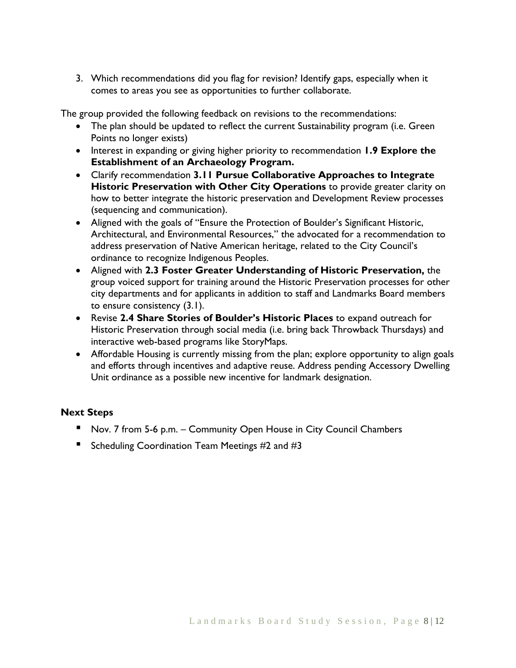3. Which recommendations did you flag for revision? Identify gaps, especially when it comes to areas you see as opportunities to further collaborate.

The group provided the following feedback on revisions to the recommendations:

- The plan should be updated to reflect the current Sustainability program (i.e. Green Points no longer exists)
- Interest in expanding or giving higher priority to recommendation **1.9 Explore the Establishment of an Archaeology Program.**
- Clarify recommendation **3.11 Pursue Collaborative Approaches to Integrate Historic Preservation with Other City Operations** to provide greater clarity on how to better integrate the historic preservation and Development Review processes (sequencing and communication).
- Aligned with the goals of "Ensure the Protection of Boulder's Significant Historic, Architectural, and Environmental Resources," the advocated for a recommendation to address preservation of Native American heritage, related to the City Council's ordinance to recognize Indigenous Peoples.
- Aligned with **2.3 Foster Greater Understanding of Historic Preservation,** the group voiced support for training around the Historic Preservation processes for other city departments and for applicants in addition to staff and Landmarks Board members to ensure consistency (3.1).
- Revise **2.4 Share Stories of Boulder's Historic Places** to expand outreach for Historic Preservation through social media (i.e. bring back Throwback Thursdays) and interactive web-based programs like StoryMaps.
- Affordable Housing is currently missing from the plan; explore opportunity to align goals and efforts through incentives and adaptive reuse. Address pending Accessory Dwelling Unit ordinance as a possible new incentive for landmark designation.

# **Next Steps**

- Nov. 7 from 5-6 p.m. Community Open House in City Council Chambers
- Scheduling Coordination Team Meetings #2 and #3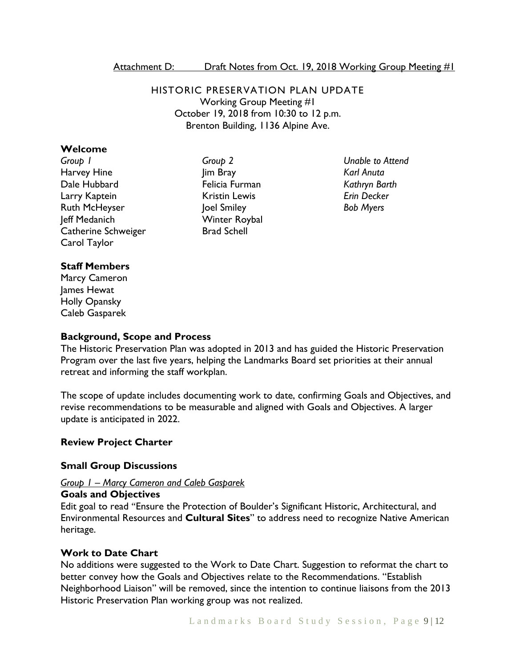Attachment D: Draft Notes from Oct. 19, 2018 Working Group Meeting #1

HISTORIC PRESERVATION PLAN UPDATE Working Group Meeting #1 October 19, 2018 from 10:30 to 12 p.m. Brenton Building, 1136 Alpine Ave.

#### **Welcome**

*Group 1* Harvey Hine Dale Hubbard Larry Kaptein Ruth McHeyser Jeff Medanich Catherine Schweiger Carol Taylor

## *Group 2* Jim Bray Felicia Furman Kristin Lewis Joel Smiley Winter Roybal Brad Schell

*Unable to Attend Karl Anuta Kathryn Barth Erin Decker Bob Myers* 

### **Staff Members**

Marcy Cameron James Hewat Holly Opansky Caleb Gasparek

### **Background, Scope and Process**

The Historic Preservation Plan was adopted in 2013 and has guided the Historic Preservation Program over the last five years, helping the Landmarks Board set priorities at their annual retreat and informing the staff workplan.

The scope of update includes documenting work to date, confirming Goals and Objectives, and revise recommendations to be measurable and aligned with Goals and Objectives. A larger update is anticipated in 2022.

### **Review Project Charter**

#### **Small Group Discussions**

#### *Group 1 – Marcy Cameron and Caleb Gasparek*

#### **Goals and Objectives**

Edit goal to read "Ensure the Protection of Boulder's Significant Historic, Architectural, and Environmental Resources and **Cultural Sites**" to address need to recognize Native American heritage.

### **Work to Date Chart**

No additions were suggested to the Work to Date Chart. Suggestion to reformat the chart to better convey how the Goals and Objectives relate to the Recommendations. "Establish Neighborhood Liaison" will be removed, since the intention to continue liaisons from the 2013 Historic Preservation Plan working group was not realized.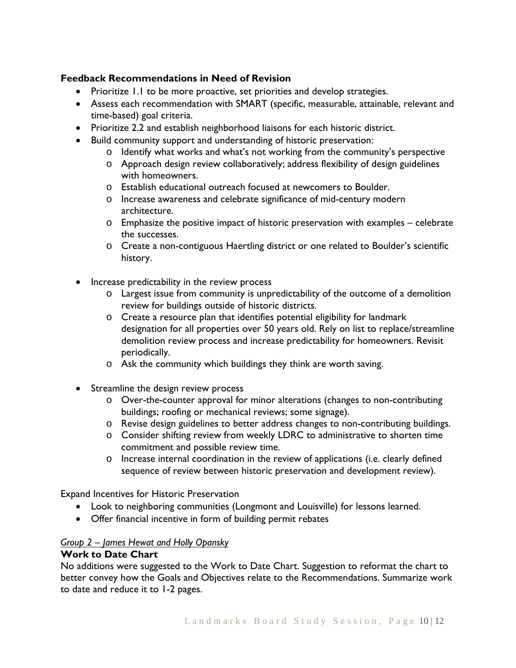# **Feedback Recommendations in Need of Revision**

- Prioritize 1.1 to be more proactive, set priorities and develop strategies.
- Assess each recommendation with SMART (specific, measurable, attainable, relevant and time-based) goal criteria.
- Prioritize 2.2 and establish neighborhood liaisons for each historic district.
- Build community support and understanding of historic preservation:
	- o Identify what works and what's not working from the community's perspective
	- $\circ$  Approach design review collaboratively; address flexibility of design guidelines with homeowners.
	- o Establish educational outreach focused at newcomers to Boulder.
	- o Increase awareness and celebrate significance of mid-century modern architecture.
	- o Emphasize the positive impact of historic preservation with examples celebrate the successes.
	- o Create a non-contiguous Haertling district or one related to Boulder's scientific history.
- Increase predictability in the review process
	- o Largest issue from community is unpredictability of the outcome of a demolition review for buildings outside of historic districts.
	- o Create a resource plan that identifies potential eligibility for landmark designation for all properties over 50 years old. Rely on list to replace/streamline demolition review process and increase predictability for homeowners. Revisit periodically.
	- o Ask the community which buildings they think are worth saving.
- Streamline the design review process
	- o Over-the-counter approval for minor alterations (changes to non-contributing buildings; roofing or mechanical reviews; some signage).
	- o Revise design guidelines to better address changes to non-contributing buildings.
	- o Consider shifting review from weekly LDRC to administrative to shorten time commitment and possible review time.
	- o Increase internal coordination in the review of applications (i.e. clearly defined sequence of review between historic preservation and development review).

Expand Incentives for Historic Preservation

- Look to neighboring communities (Longmont and Louisville) for lessons learned.
- Offer financial incentive in form of building permit rebates

# *Group 2 – James Hewat and Holly Opansky*

## **Work to Date Chart**

No additions were suggested to the Work to Date Chart. Suggestion to reformat the chart to better convey how the Goals and Objectives relate to the Recommendations. Summarize work to date and reduce it to 1-2 pages.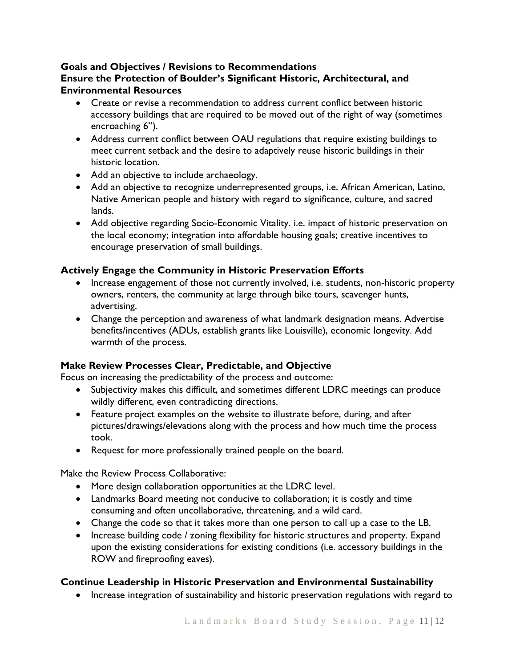# **Goals and Objectives / Revisions to Recommendations Ensure the Protection of Boulder's Significant Historic, Architectural, and Environmental Resources**

- Create or revise a recommendation to address current conflict between historic accessory buildings that are required to be moved out of the right of way (sometimes encroaching 6").
- Address current conflict between OAU regulations that require existing buildings to meet current setback and the desire to adaptively reuse historic buildings in their historic location.
- Add an objective to include archaeology.
- Add an objective to recognize underrepresented groups, i.e. African American, Latino, Native American people and history with regard to significance, culture, and sacred lands.
- Add objective regarding Socio-Economic Vitality. i.e. impact of historic preservation on the local economy; integration into affordable housing goals; creative incentives to encourage preservation of small buildings.

# **Actively Engage the Community in Historic Preservation Efforts**

- Increase engagement of those not currently involved, i.e. students, non-historic property owners, renters, the community at large through bike tours, scavenger hunts, advertising.
- Change the perception and awareness of what landmark designation means. Advertise benefits/incentives (ADUs, establish grants like Louisville), economic longevity. Add warmth of the process.

# **Make Review Processes Clear, Predictable, and Objective**

Focus on increasing the predictability of the process and outcome:

- Subjectivity makes this difficult, and sometimes different LDRC meetings can produce wildly different, even contradicting directions.
- Feature project examples on the website to illustrate before, during, and after pictures/drawings/elevations along with the process and how much time the process took.
- Request for more professionally trained people on the board.

Make the Review Process Collaborative:

- More design collaboration opportunities at the LDRC level.
- Landmarks Board meeting not conducive to collaboration; it is costly and time consuming and often uncollaborative, threatening, and a wild card.
- Change the code so that it takes more than one person to call up a case to the LB.
- Increase building code / zoning flexibility for historic structures and property. Expand upon the existing considerations for existing conditions (i.e. accessory buildings in the ROW and fireproofing eaves).

# **Continue Leadership in Historic Preservation and Environmental Sustainability**

• Increase integration of sustainability and historic preservation regulations with regard to